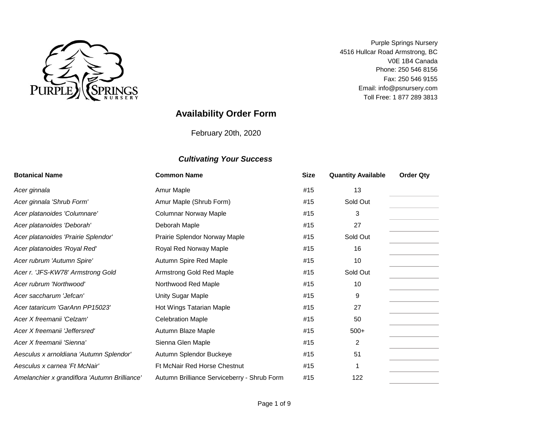

Email: info@psnursery.com Toll Free: 1 877 289 3813 Phone: 250 546 8156 V0E 1B4 Canada Fax: 250 546 9155 Purple Springs Nursery 4516 Hullcar Road Armstrong, BC

# **Availability Order Form**

February 20th, 2020

| <b>Botanical Name</b>                         | <b>Common Name</b>                          | <b>Size</b> | <b>Quantity Available</b> | <b>Order Qty</b> |
|-----------------------------------------------|---------------------------------------------|-------------|---------------------------|------------------|
| Acer ginnala                                  | Amur Maple                                  | #15         | 13                        |                  |
| Acer ginnala 'Shrub Form'                     | Amur Maple (Shrub Form)                     | #15         | Sold Out                  |                  |
| Acer platanoides 'Columnare'                  | <b>Columnar Norway Maple</b>                | #15         | 3                         |                  |
| Acer platanoides 'Deborah'                    | Deborah Maple                               | #15         | 27                        |                  |
| Acer platanoides 'Prairie Splendor'           | Prairie Splendor Norway Maple               | #15         | Sold Out                  |                  |
| Acer platanoides 'Royal Red'                  | Royal Red Norway Maple                      | #15         | 16                        |                  |
| Acer rubrum 'Autumn Spire'                    | Autumn Spire Red Maple                      | #15         | 10                        |                  |
| Acer r. 'JFS-KW78' Armstrong Gold             | Armstrong Gold Red Maple                    | #15         | Sold Out                  |                  |
| Acer rubrum 'Northwood'                       | Northwood Red Maple                         | #15         | 10                        |                  |
| Acer saccharum 'Jefcan'                       | Unity Sugar Maple                           | #15         | 9                         |                  |
| Acer tataricum 'GarAnn PP15023'               | Hot Wings Tatarian Maple                    | #15         | 27                        |                  |
| Acer X freemanii 'Celzam'                     | <b>Celebration Maple</b>                    | #15         | 50                        |                  |
| Acer X freemanii 'Jeffersred'                 | Autumn Blaze Maple                          | #15         | $500+$                    |                  |
| Acer X freemanii 'Sienna'                     | Sienna Glen Maple                           | #15         | $\overline{2}$            |                  |
| Aesculus x arnoldiana 'Autumn Splendor'       | Autumn Splendor Buckeye                     | #15         | 51                        |                  |
| Aesculus x carnea 'Ft McNair'                 | <b>Ft McNair Red Horse Chestnut</b>         | #15         |                           |                  |
| Amelanchier x grandiflora 'Autumn Brilliance' | Autumn Brilliance Serviceberry - Shrub Form | #15         | 122                       |                  |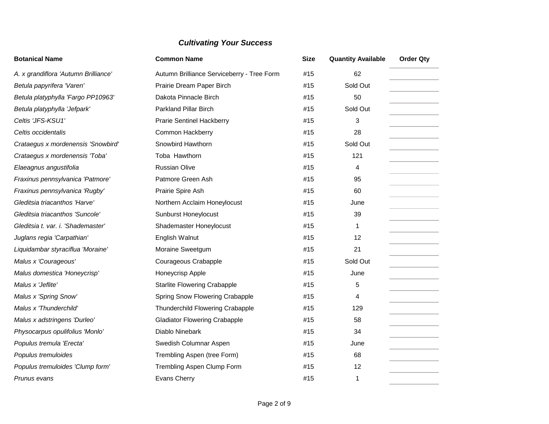| <b>Botanical Name</b>                | <b>Common Name</b>                         | <b>Size</b> | <b>Quantity Available</b> | <b>Order Qty</b> |
|--------------------------------------|--------------------------------------------|-------------|---------------------------|------------------|
| A. x grandiflora 'Autumn Brilliance' | Autumn Brilliance Serviceberry - Tree Form | #15         | 62                        |                  |
| Betula papyrifera 'Varen'            | Prairie Dream Paper Birch                  | #15         | Sold Out                  |                  |
| Betula platyphylla 'Fargo PP10963'   | Dakota Pinnacle Birch                      | #15         | 50                        |                  |
| Betula platyphylla 'Jefpark'         | <b>Parkland Pillar Birch</b>               | #15         | Sold Out                  |                  |
| Celtis 'JFS-KSU1'                    | <b>Prarie Sentinel Hackberry</b>           | #15         | 3                         |                  |
| Celtis occidentalis                  | <b>Common Hackberry</b>                    | #15         | 28                        |                  |
| Crataegus x mordenensis 'Snowbird'   | Snowbird Hawthorn                          | #15         | Sold Out                  |                  |
| Crataegus x mordenensis 'Toba'       | Toba Hawthorn                              | #15         | 121                       |                  |
| Elaeagnus angustifolia               | <b>Russian Olive</b>                       | #15         | 4                         |                  |
| Fraxinus pennsylvanica 'Patmore'     | Patmore Green Ash                          | #15         | 95                        |                  |
| Fraxinus pennsylvanica 'Rugby'       | Prairie Spire Ash                          | #15         | 60                        |                  |
| Gleditsia triacanthos 'Harve'        | Northern Acclaim Honeylocust               | #15         | June                      |                  |
| Gleditsia triacanthos 'Suncole'      | <b>Sunburst Honeylocust</b>                | #15         | 39                        |                  |
| Gleditsia t. var. i. 'Shademaster'   | Shademaster Honeylocust                    | #15         | 1                         |                  |
| Juglans regia 'Carpathian'           | English Walnut                             | #15         | 12                        |                  |
| Liquidambar styraciflua 'Moraine'    | Moraine Sweetgum                           | #15         | 21                        |                  |
| Malus x 'Courageous'                 | Courageous Crabapple                       | #15         | Sold Out                  |                  |
| Malus domestica 'Honeycrisp'         | Honeycrisp Apple                           | #15         | June                      |                  |
| Malus x 'Jeflite'                    | <b>Starlite Flowering Crabapple</b>        | #15         | 5                         |                  |
| Malus x 'Spring Snow'                | Spring Snow Flowering Crabapple            | #15         | 4                         |                  |
| Malus x 'Thunderchild'               | Thunderchild Flowering Crabapple           | #15         | 129                       |                  |
| Malus x adstringens 'Durleo'         | <b>Gladiator Flowering Crabapple</b>       | #15         | 58                        |                  |
| Physocarpus opulifolius 'Monlo'      | Diablo Ninebark                            | #15         | 34                        |                  |
| Populus tremula 'Erecta'             | Swedish Columnar Aspen                     | #15         | June                      |                  |
| Populus tremuloides                  | Trembling Aspen (tree Form)                | #15         | 68                        |                  |
| Populus tremuloides 'Clump form'     | Trembling Aspen Clump Form                 | #15         | 12                        |                  |
| Prunus evans                         | Evans Cherry                               | #15         | $\mathbf{1}$              |                  |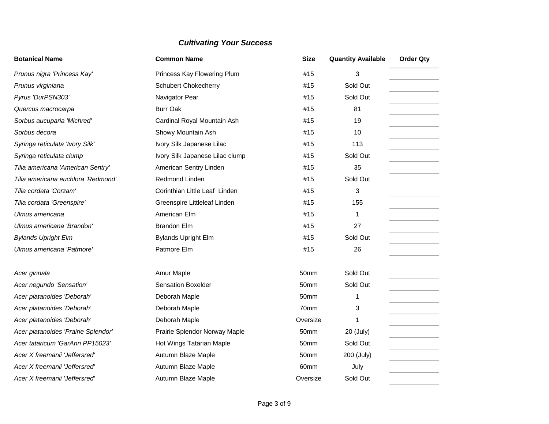| <b>Botanical Name</b>               | <b>Common Name</b>              | <b>Size</b> | <b>Quantity Available</b> | <b>Order Qty</b> |
|-------------------------------------|---------------------------------|-------------|---------------------------|------------------|
| Prunus nigra 'Princess Kay'         | Princess Kay Flowering Plum     | #15         | 3                         |                  |
| Prunus virginiana                   | <b>Schubert Chokecherry</b>     | #15         | Sold Out                  |                  |
| Pyrus 'DurPSN303'                   | Navigator Pear                  | #15         | Sold Out                  |                  |
| Quercus macrocarpa                  | <b>Burr Oak</b>                 | #15         | 81                        |                  |
| Sorbus aucuparia 'Michred'          | Cardinal Royal Mountain Ash     | #15         | 19                        |                  |
| Sorbus decora                       | Showy Mountain Ash              | #15         | 10                        |                  |
| Syringa reticulata 'Ivory Silk'     | Ivory Silk Japanese Lilac       | #15         | 113                       |                  |
| Syringa reticulata clump            | Ivory Silk Japanese Lilac clump | #15         | Sold Out                  |                  |
| Tilia americana 'American Sentry'   | American Sentry Linden          | #15         | 35                        |                  |
| Tilia americana euchlora 'Redmond'  | Redmond Linden                  | #15         | Sold Out                  |                  |
| Tilia cordata 'Corzam'              | Corinthian Little Leaf Linden   | #15         | 3                         |                  |
| Tilia cordata 'Greenspire'          | Greenspire Littleleaf Linden    | #15         | 155                       |                  |
| Ulmus americana                     | American Elm                    | #15         | 1                         |                  |
| Ulmus americana 'Brandon'           | <b>Brandon Elm</b>              | #15         | 27                        |                  |
| <b>Bylands Upright Elm</b>          | <b>Bylands Upright Elm</b>      | #15         | Sold Out                  |                  |
| Ulmus americana 'Patmore'           | Patmore Elm                     | #15         | 26                        |                  |
|                                     |                                 |             |                           |                  |
| Acer ginnala                        | Amur Maple                      | 50mm        | Sold Out                  |                  |
| Acer negundo 'Sensation'            | <b>Sensation Boxelder</b>       | 50mm        | Sold Out                  |                  |
| Acer platanoides 'Deborah'          | Deborah Maple                   | 50mm        | 1                         |                  |
| Acer platanoides 'Deborah'          | Deborah Maple                   | 70mm        | 3                         |                  |
| Acer platanoides 'Deborah'          | Deborah Maple                   | Oversize    | 1                         |                  |
| Acer platanoides 'Prairie Splendor' | Prairie Splendor Norway Maple   | 50mm        | 20 (July)                 |                  |
| Acer tataricum 'GarAnn PP15023'     | Hot Wings Tatarian Maple        | 50mm        | Sold Out                  |                  |
| Acer X freemanii 'Jeffersred'       | Autumn Blaze Maple              | 50mm        | 200 (July)                |                  |
| Acer X freemanii 'Jeffersred'       | Autumn Blaze Maple              | 60mm        | July                      |                  |
| Acer X freemanii 'Jeffersred'       | Autumn Blaze Maple              | Oversize    | Sold Out                  |                  |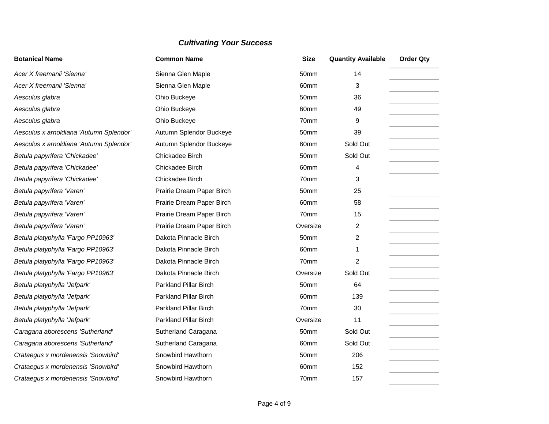| <b>Botanical Name</b>                   | <b>Common Name</b>           | <b>Size</b>      | <b>Quantity Available</b> | <b>Order Qty</b> |
|-----------------------------------------|------------------------------|------------------|---------------------------|------------------|
| Acer X freemanii 'Sienna'               | Sienna Glen Maple            | 50mm             | 14                        |                  |
| Acer X freemanii 'Sienna'               | Sienna Glen Maple            | 60 <sub>mm</sub> | 3                         |                  |
| Aesculus glabra                         | Ohio Buckeye                 | 50mm             | 36                        |                  |
| Aesculus glabra                         | Ohio Buckeye                 | 60mm             | 49                        |                  |
| Aesculus glabra                         | Ohio Buckeye                 | 70mm             | 9                         |                  |
| Aesculus x arnoldiana 'Autumn Splendor' | Autumn Splendor Buckeye      | 50mm             | 39                        |                  |
| Aesculus x arnoldiana 'Autumn Splendor' | Autumn Splendor Buckeye      | 60mm             | Sold Out                  |                  |
| Betula papyrifera 'Chickadee'           | Chickadee Birch              | 50mm             | Sold Out                  |                  |
| Betula papyrifera 'Chickadee'           | Chickadee Birch              | 60mm             | 4                         |                  |
| Betula papyrifera 'Chickadee'           | Chickadee Birch              | 70mm             | 3                         |                  |
| Betula papyrifera 'Varen'               | Prairie Dream Paper Birch    | 50 <sub>mm</sub> | 25                        |                  |
| Betula papyrifera 'Varen'               | Prairie Dream Paper Birch    | 60mm             | 58                        |                  |
| Betula papyrifera 'Varen'               | Prairie Dream Paper Birch    | 70mm             | 15                        |                  |
| Betula papyrifera 'Varen'               | Prairie Dream Paper Birch    | Oversize         | 2                         |                  |
| Betula platyphylla 'Fargo PP10963'      | Dakota Pinnacle Birch        | 50mm             | 2                         |                  |
| Betula platyphylla 'Fargo PP10963'      | Dakota Pinnacle Birch        | 60mm             | 1                         |                  |
| Betula platyphylla 'Fargo PP10963'      | Dakota Pinnacle Birch        | 70mm             | $\overline{2}$            |                  |
| Betula platyphylla 'Fargo PP10963'      | Dakota Pinnacle Birch        | Oversize         | Sold Out                  |                  |
| Betula platyphylla 'Jefpark'            | <b>Parkland Pillar Birch</b> | 50mm             | 64                        |                  |
| Betula platyphylla 'Jefpark'            | Parkland Pillar Birch        | 60mm             | 139                       |                  |
| Betula platyphylla 'Jefpark'            | <b>Parkland Pillar Birch</b> | 70mm             | 30                        |                  |
| Betula platyphylla 'Jefpark'            | Parkland Pillar Birch        | Oversize         | 11                        |                  |
| Caragana aborescens 'Sutherland'        | Sutherland Caragana          | 50mm             | Sold Out                  |                  |
| Caragana aborescens 'Sutherland'        | Sutherland Caragana          | 60mm             | Sold Out                  |                  |
| Crataegus x mordenensis 'Snowbird'      | Snowbird Hawthorn            | 50mm             | 206                       |                  |
| Crataegus x mordenensis 'Snowbird'      | Snowbird Hawthorn            | 60mm             | 152                       |                  |
| Crataegus x mordenensis 'Snowbird'      | Snowbird Hawthorn            | 70mm             | 157                       |                  |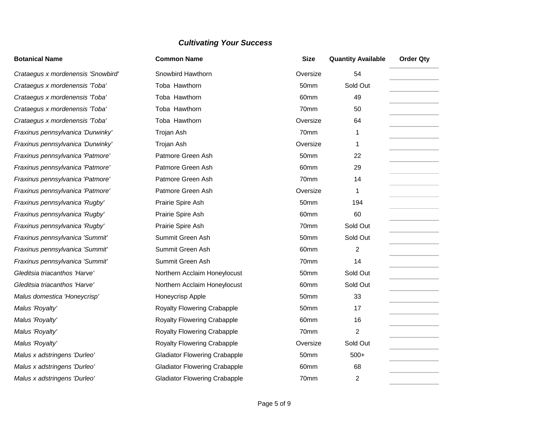# **Botanical Name Common Name Size Quantity Available Order Qty Crataegus x mordenensis 'Snowbird'** Snowbird Hawthorn Summer State State Coversize 54 **Crataegus x mordenensis 'Toba'** Toba Hawthorn **50mm** Sold Out 50mm Sold Out *Crataegus x mordenensis 'Toba'* Toba Hawthorn **60mm** 60mm 49 *Crataegus x mordenensis 'Toba'* Toba Hawthorn 70mm 50 **Crataegus x mordenensis 'Toba'** Toba Hawthorn **Crataegus X Coversize** 64 *Fraxinus pennsylvanica 'Durwinky'* Trojan Ash 70mm 1 *Fraxinus pennsylvanica 'Durwinky'* Trojan Ash **Troving and Troving Ash Coversize** 1 *Fraxinus pennsylvanica 'Patmore'* Patmore Green Ash 50mm 22 *Fraxinus pennsylvanica 'Patmore'* Patmore Green Ash 60mm 29 *Fraxinus pennsylvanica 'Patmore'* Patmore Green Ash 70mm 14 *Fraxinus pennsylvanica 'Patmore'* Patmore Green Ash Oversize 1 *Fraxinus pennsylvanica 'Rugby'* Prairie Spire Ash **194** 50mm 194 *Fraxinus pennsylvanica 'Rugby'* Prairie Spire Ash **60mm** 60 *Fraxinus pennsylvanica 'Rugby'* Prairie Spire Ash 70mm Sold Out *Fraxinus pennsylvanica 'Summit'* Summit Green Ash 50mm Sold Out *Fraxinus pennsylvanica 'Summit'* Summit Green Ash **60mm** 2 *Fraxinus pennsylvanica 'Summit'* Summit Green Ash 70mm 14 **Gleditsia triacanthos 'Harve'** Northern Acclaim Honeylocust 50mm Sold Out Sold Out **Gleditsia triacanthos 'Harve' Northern Acclaim Honeylocust** 60mm Sold Out *Malus domestica 'Honeycrisp'*  $\blacksquare$  Honeycrisp Apple  $\blacksquare$  50mm 33 *Malus 'Royalty'* The Constant Revel of Royalty Flowering Crabapple 50mm 17 *Malus 'Royalty'* **Contains Accord Contains Critical** Royalty Flowering Crabapple 60mm 16 *Malus 'Royalty'* The Common Crabapple **Royalty Flowering Crabapple** 70mm 2 Malus 'Royalty' **Royalty Flowering Crabapple Royalty Flowering Crabapple Royalty Flowering Crabapple Constant Constant Constant Constant Constant Constant Constant Constant Constant Constant Constant Constant Constan** *Malus x adstringens 'Durleo'* **Gladiator Flowering Crabapple** 50mm 500+ *Malus x adstringens 'Durleo'* 68 Gladiator Flowering Crabapple 60mm 68 *Malus x adstringens 'Durleo'* Gladiator Flowering Crabapple 70mm 2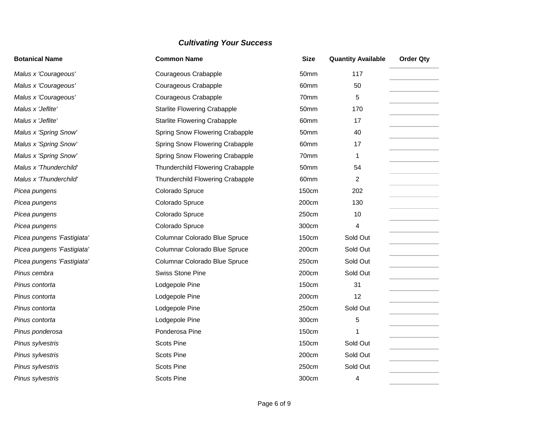| <b>Botanical Name</b>      | <b>Common Name</b>                      | <b>Size</b>      | <b>Quantity Available</b> | <b>Order Qty</b> |
|----------------------------|-----------------------------------------|------------------|---------------------------|------------------|
| Malus x 'Courageous'       | Courageous Crabapple                    | 50mm             | 117                       |                  |
| Malus x 'Courageous'       | Courageous Crabapple                    | 60mm             | 50                        |                  |
| Malus x 'Courageous'       | Courageous Crabapple                    | 70mm             | 5                         |                  |
| Malus x 'Jeflite'          | <b>Starlite Flowering Crabapple</b>     | 50 <sub>mm</sub> | 170                       |                  |
| Malus x 'Jeflite'          | <b>Starlite Flowering Crabapple</b>     | 60mm             | 17                        |                  |
| Malus x 'Spring Snow'      | Spring Snow Flowering Crabapple         | 50mm             | 40                        |                  |
| Malus x 'Spring Snow'      | Spring Snow Flowering Crabapple         | 60mm             | 17                        |                  |
| Malus x 'Spring Snow'      | Spring Snow Flowering Crabapple         | 70mm             | 1                         |                  |
| Malus x 'Thunderchild'     | Thunderchild Flowering Crabapple        | 50mm             | 54                        |                  |
| Malus x 'Thunderchild'     | <b>Thunderchild Flowering Crabapple</b> | 60mm             | 2                         |                  |
| Picea pungens              | Colorado Spruce                         | 150cm            | 202                       |                  |
| Picea pungens              | Colorado Spruce                         | 200cm            | 130                       |                  |
| Picea pungens              | Colorado Spruce                         | 250cm            | 10                        |                  |
| Picea pungens              | Colorado Spruce                         | 300cm            | 4                         |                  |
| Picea pungens 'Fastigiata' | Columnar Colorado Blue Spruce           | 150cm            | Sold Out                  |                  |
| Picea pungens 'Fastigiata' | Columnar Colorado Blue Spruce           | 200cm            | Sold Out                  |                  |
| Picea pungens 'Fastigiata' | Columnar Colorado Blue Spruce           | 250cm            | Sold Out                  |                  |
| Pinus cembra               | Swiss Stone Pine                        | 200cm            | Sold Out                  |                  |
| Pinus contorta             | Lodgepole Pine                          | 150cm            | 31                        |                  |
| Pinus contorta             | Lodgepole Pine                          | 200cm            | 12                        |                  |
| Pinus contorta             | Lodgepole Pine                          | 250cm            | Sold Out                  |                  |
| Pinus contorta             | Lodgepole Pine                          | 300cm            | 5                         |                  |
| Pinus ponderosa            | Ponderosa Pine                          | 150cm            |                           |                  |
| Pinus sylvestris           | <b>Scots Pine</b>                       | 150cm            | Sold Out                  |                  |
| Pinus sylvestris           | <b>Scots Pine</b>                       | 200cm            | Sold Out                  |                  |
| Pinus sylvestris           | <b>Scots Pine</b>                       | 250cm            | Sold Out                  |                  |
| Pinus sylvestris           | <b>Scots Pine</b>                       | 300cm            | 4                         |                  |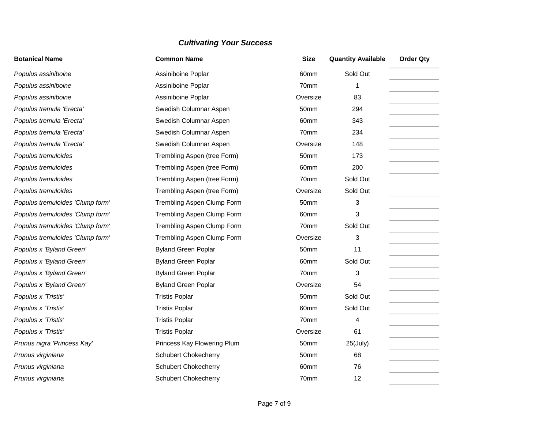| <b>Botanical Name</b>            | <b>Common Name</b>          | <b>Size</b> | <b>Quantity Available</b> | <b>Order Qty</b> |
|----------------------------------|-----------------------------|-------------|---------------------------|------------------|
| Populus assiniboine              | Assiniboine Poplar          | 60mm        | Sold Out                  |                  |
| Populus assiniboine              | Assiniboine Poplar          | 70mm        | 1                         |                  |
| Populus assiniboine              | Assiniboine Poplar          | Oversize    | 83                        |                  |
| Populus tremula 'Erecta'         | Swedish Columnar Aspen      | 50mm        | 294                       |                  |
| Populus tremula 'Erecta'         | Swedish Columnar Aspen      | 60mm        | 343                       |                  |
| Populus tremula 'Erecta'         | Swedish Columnar Aspen      | 70mm        | 234                       |                  |
| Populus tremula 'Erecta'         | Swedish Columnar Aspen      | Oversize    | 148                       |                  |
| Populus tremuloides              | Trembling Aspen (tree Form) | 50mm        | 173                       |                  |
| Populus tremuloides              | Trembling Aspen (tree Form) | 60mm        | 200                       |                  |
| Populus tremuloides              | Trembling Aspen (tree Form) | 70mm        | Sold Out                  |                  |
| Populus tremuloides              | Trembling Aspen (tree Form) | Oversize    | Sold Out                  |                  |
| Populus tremuloides 'Clump form' | Trembling Aspen Clump Form  | 50mm        | 3                         |                  |
| Populus tremuloides 'Clump form' | Trembling Aspen Clump Form  | 60mm        | 3                         |                  |
| Populus tremuloides 'Clump form' | Trembling Aspen Clump Form  | 70mm        | Sold Out                  |                  |
| Populus tremuloides 'Clump form' | Trembling Aspen Clump Form  | Oversize    | 3                         |                  |
| Populus x 'Byland Green'         | <b>Byland Green Poplar</b>  | 50mm        | 11                        |                  |
| Populus x 'Byland Green'         | <b>Byland Green Poplar</b>  | 60mm        | Sold Out                  |                  |
| Populus x 'Byland Green'         | <b>Byland Green Poplar</b>  | 70mm        | 3                         |                  |
| Populus x 'Byland Green'         | <b>Byland Green Poplar</b>  | Oversize    | 54                        |                  |
| Populus x 'Tristis'              | <b>Tristis Poplar</b>       | 50mm        | Sold Out                  |                  |
| Populus x 'Tristis'              | <b>Tristis Poplar</b>       | 60mm        | Sold Out                  |                  |
| Populus x 'Tristis'              | <b>Tristis Poplar</b>       | 70mm        | 4                         |                  |
| Populus x 'Tristis'              | <b>Tristis Poplar</b>       | Oversize    | 61                        |                  |
| Prunus nigra 'Princess Kay'      | Princess Kay Flowering Plum | 50mm        | $25$ (July)               |                  |
| Prunus virginiana                | <b>Schubert Chokecherry</b> | 50mm        | 68                        |                  |
| Prunus virginiana                | <b>Schubert Chokecherry</b> | 60mm        | 76                        |                  |
| Prunus virginiana                | <b>Schubert Chokecherry</b> | 70mm        | 12                        |                  |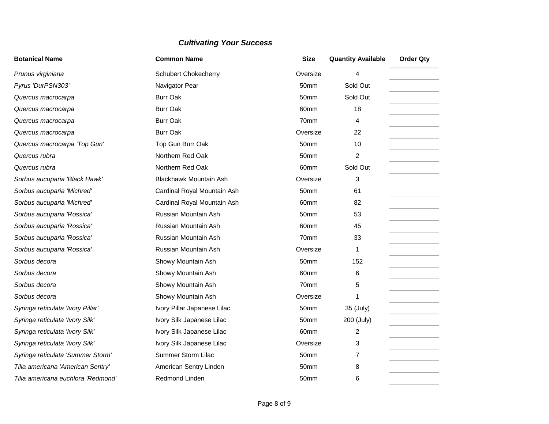| <b>Botanical Name</b>              | <b>Common Name</b>            | <b>Size</b>      | <b>Quantity Available</b> | <b>Order Qty</b> |
|------------------------------------|-------------------------------|------------------|---------------------------|------------------|
| Prunus virginiana                  | <b>Schubert Chokecherry</b>   | Oversize         | 4                         |                  |
| Pyrus 'DurPSN303'                  | Navigator Pear                | 50mm             | Sold Out                  |                  |
| Quercus macrocarpa                 | <b>Burr Oak</b>               | 50mm             | Sold Out                  |                  |
| Quercus macrocarpa                 | <b>Burr Oak</b>               | 60mm             | 18                        |                  |
| Quercus macrocarpa                 | <b>Burr Oak</b>               | 70mm             | 4                         |                  |
| Quercus macrocarpa                 | <b>Burr Oak</b>               | Oversize         | 22                        |                  |
| Quercus macrocarpa 'Top Gun'       | Top Gun Burr Oak              | 50mm             | 10                        |                  |
| Quercus rubra                      | Northern Red Oak              | 50mm             | $\overline{c}$            |                  |
| Quercus rubra                      | Northern Red Oak              | 60mm             | Sold Out                  |                  |
| Sorbus aucuparia 'Black Hawk'      | <b>Blackhawk Mountain Ash</b> | Oversize         | 3                         |                  |
| Sorbus aucuparia 'Michred'         | Cardinal Royal Mountain Ash   | 50mm             | 61                        |                  |
| Sorbus aucuparia 'Michred'         | Cardinal Royal Mountain Ash   | 60mm             | 82                        |                  |
| Sorbus aucuparia 'Rossica'         | Russian Mountain Ash          | 50mm             | 53                        |                  |
| Sorbus aucuparia 'Rossica'         | Russian Mountain Ash          | 60mm             | 45                        |                  |
| Sorbus aucuparia 'Rossica'         | Russian Mountain Ash          | 70mm             | 33                        |                  |
| Sorbus aucuparia 'Rossica'         | Russian Mountain Ash          | Oversize         | 1                         |                  |
| Sorbus decora                      | Showy Mountain Ash            | 50 <sub>mm</sub> | 152                       |                  |
| Sorbus decora                      | Showy Mountain Ash            | 60mm             | 6                         |                  |
| Sorbus decora                      | Showy Mountain Ash            | 70mm             | 5                         |                  |
| Sorbus decora                      | Showy Mountain Ash            | Oversize         |                           |                  |
| Syringa reticulata 'Ivory Pillar'  | Ivory Pillar Japanese Lilac   | 50mm             | 35 (July)                 |                  |
| Syringa reticulata 'Ivory Silk'    | Ivory Silk Japanese Lilac     | 50mm             | 200 (July)                |                  |
| Syringa reticulata 'Ivory Silk'    | Ivory Silk Japanese Lilac     | 60mm             | 2                         |                  |
| Syringa reticulata 'Ivory Silk'    | Ivory Silk Japanese Lilac     | Oversize         | 3                         |                  |
| Syringa reticulata 'Summer Storm'  | Summer Storm Lilac            | 50mm             | 7                         |                  |
| Tilia americana 'American Sentry'  | American Sentry Linden        | 50mm             | 8                         |                  |
| Tilia americana euchlora 'Redmond' | Redmond Linden                | 50mm             | 6                         |                  |